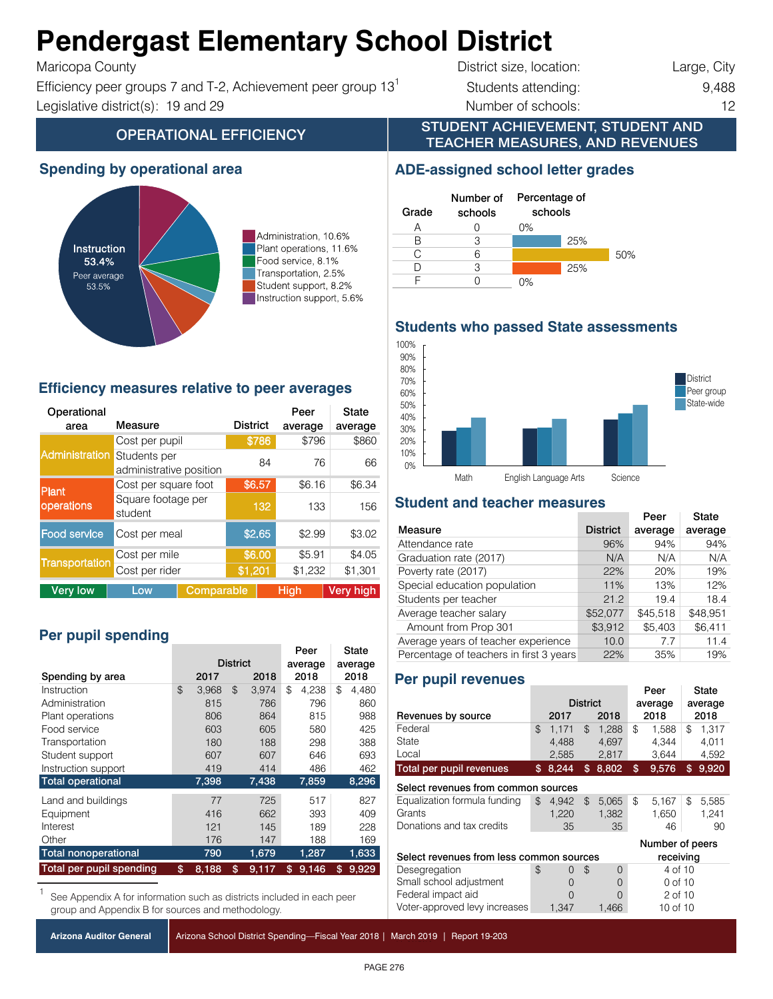#### Aandaugaat Elamaanta **Pendergast Elementary School District**  $\mathbf{F}$

 $T$ ranc $Q$ pa County

Efficiency peer groups 7 and T-2, Achievement peer group  $13<sup>1</sup>$  Students attending: 9,488 Instruction support 5.6% 5.6% Instruction support, 5.6% Legislative district(s): 19 and 29 **Number of schools:** 2

**OPERATIONAL EFFICIENCY** 

District size, location: Large, City

#### STUDENT ACHIEVEMENT, STUDENT AND TEACHER MEASURES, AND REVENUES

Percentage of schools

25%

25%

50%

**ADE-assigned school letter grades**

### **Spending by operational area**



Administration, 10.6% Plant operations, 11.6% Food service, 8.1% Transportation, 2.5% Student support, 8.2% Instruction support, 5.6%

### **Efficiency measures relative to peer averages**

| Operational<br>area   | Measure                                 |            | <b>District</b> |        | Peer<br>average | State<br>average |  |
|-----------------------|-----------------------------------------|------------|-----------------|--------|-----------------|------------------|--|
|                       | Cost per pupil                          |            |                 | \$786  | \$796           | \$860            |  |
| <b>Administration</b> | Students per<br>administrative position |            |                 | 84     | 76              | 66               |  |
| <b>Plant</b>          | Cost per square foot                    | \$6.57     |                 | \$6.16 | \$6.34          |                  |  |
| operations            | Square footage per<br>student           |            | 132             | 133    | 156             |                  |  |
| <b>Food service</b>   | Cost per meal                           |            | \$2.65          |        | \$2.99          | \$3.02           |  |
|                       | Cost per mile                           |            | \$6.00          |        | \$5.91          | \$4.05           |  |
| Transportation        | Cost per rider                          |            | \$1,201         |        | \$1,232         | \$1,301          |  |
| <b>Very low</b>       | Low                                     | Comparable |                 |        | <b>High</b>     | <b>Very high</b> |  |

# Per pupil spending

|                                 |                 |       |      |         |      | Peer    |    | State |
|---------------------------------|-----------------|-------|------|---------|------|---------|----|-------|
|                                 | <b>District</b> |       |      | average |      | average |    |       |
| Spending by area                | 2018<br>2017    |       | 2018 |         | 2018 |         |    |       |
| Instruction                     | \$              | 3.968 | \$   | 3.974   | \$   | 4.238   | \$ | 4.480 |
| Administration                  |                 | 815   |      | 786     |      | 796     |    | 860   |
| Plant operations                |                 | 806   |      | 864     |      | 815     |    | 988   |
| Food service                    |                 | 603   |      | 605     |      | 580     |    | 425   |
| Transportation                  |                 | 180   |      | 188     |      | 298     |    | 388   |
| Student support                 |                 | 607   |      | 607     |      | 646     |    | 693   |
| Instruction support             |                 | 419   |      | 414     |      | 486     |    | 462   |
| <b>Total operational</b>        |                 | 7,398 |      | 7,438   |      | 7,859   |    | 8,296 |
| Land and buildings              |                 | 77    |      | 725     |      | 517     |    | 827   |
| Equipment                       |                 | 416   |      | 662     |      | 393     |    | 409   |
| Interest                        |                 | 121   |      | 145     |      | 189     |    | 228   |
| Other                           |                 | 176   |      | 147     |      | 188     |    | 169   |
| <b>Total nonoperational</b>     |                 | 790   |      | 1,679   |      | 1,287   |    | 1,633 |
| <b>Total per pupil spending</b> | \$              | 8,188 | \$   | 9,117   | \$   | 9,146   | \$ | 9,929 |

See Appendix A for information such as districts included in each peer group and Appendix B for sources and methodology.

|  |  |  | Arizona Auditor General |  |
|--|--|--|-------------------------|--|
|--|--|--|-------------------------|--|

Arizona School District Spending—Fiscal Year 2018 | March 2019 | Report 19-203

**District** Peer group State-wide 10% 20% 30% 40% 50% 60% 70% 80% 90% 100%

# **Student and teacher measures**

Math English Language Arts Science

|                                         |                 | Peer     | State    |
|-----------------------------------------|-----------------|----------|----------|
| Measure                                 | <b>District</b> | average  | average  |
| Attendance rate                         | 96%             | 94%      | 94%      |
| Graduation rate (2017)                  | N/A             | N/A      | N/A      |
| Poverty rate (2017)                     | 22%             | 20%      | 19%      |
| Special education population            | 11%             | 13%      | 12%      |
| Students per teacher                    | 21.2            | 19.4     | 18.4     |
| Average teacher salary                  | \$52,077        | \$45,518 | \$48,951 |
| Amount from Prop 301                    | \$3,912         | \$5,403  | \$6,411  |
| Average years of teacher experience     | 10.0            | 7.7      | 11.4     |
| Percentage of teachers in first 3 years | 22%             | 35%      | 19%      |

### **Per pupil revenues**

CTD: 070492 Pendergast ESD **Do not make changes to chart**

A 0 B 3 C 6 D 3 F 0

Number of schools

Grade

0%

|                                                       |    |          | Peer                       |       | State           |          |    |       |  |
|-------------------------------------------------------|----|----------|----------------------------|-------|-----------------|----------|----|-------|--|
|                                                       |    |          | <b>District</b><br>average |       |                 | average  |    |       |  |
| Revenues by source                                    |    | 2017     |                            | 2018  |                 | 2018     |    | 2018  |  |
| Federal                                               | \$ | 1.171    | $\mathfrak{L}$             | 1.288 | \$              | 1.588    | \$ | 1.317 |  |
| State                                                 |    | 4.488    |                            | 4,697 |                 | 4.344    |    | 4,011 |  |
| Local                                                 |    | 2,585    |                            | 2,817 |                 | 3,644    |    | 4,592 |  |
| Total per pupil revenues                              | \$ | 8,244    | \$                         | 8,802 | \$              | 9,576    | \$ | 9,920 |  |
| Select revenues from common sources                   |    |          |                            |       |                 |          |    |       |  |
| Equalization formula funding                          | \$ | 4.942    | \$                         | 5,065 | \$              | 5.167    | \$ | 5,585 |  |
| Grants                                                |    | 1,220    |                            | 1,382 |                 | 1,650    |    | 1,241 |  |
| Donations and tax credits                             |    | 35       |                            | 35    |                 | 46       |    | 90    |  |
|                                                       |    |          |                            |       | Number of peers |          |    |       |  |
| Select revenues from less common sources<br>receiving |    |          |                            |       |                 |          |    |       |  |
| Desegregation                                         | \$ | $\Omega$ | \$                         | 0     |                 | 4 of 10  |    |       |  |
| Small school adjustment                               |    | $\Omega$ |                            | 0     |                 | 0 of 10  |    |       |  |
| Federal impact aid                                    |    | ∩        |                            | 0     |                 | 2 of 10  |    |       |  |
| Voter-approved levy increases                         |    | 1,347    |                            | 1,466 |                 | 10 of 10 |    |       |  |

# **Students who passed State assessments**

0%

0%